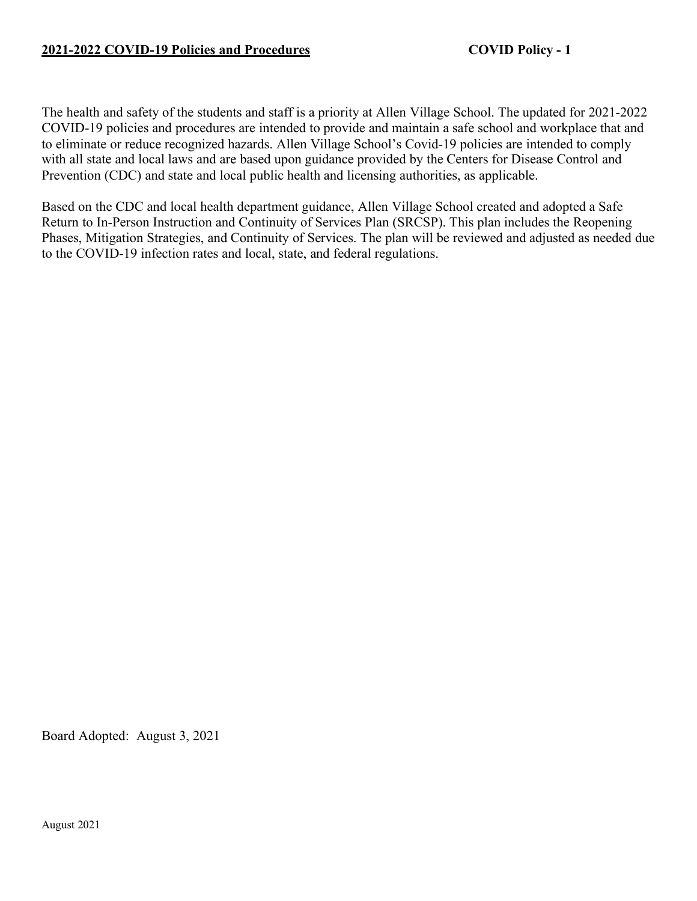The health and safety of the students and staff is a priority at Allen Village School. The updated for 2021-2022 COVID-19 policies and procedures are intended to provide and maintain a safe school and workplace that and to eliminate or reduce recognized hazards. Allen Village School's Covid-19 policies are intended to comply with all state and local laws and are based upon guidance provided by the Centers for Disease Control and Prevention (CDC) and state and local public health and licensing authorities, as applicable.

Based on the CDC and local health department guidance, Allen Village School created and adopted a Safe Return to In-Person Instruction and Continuity of Services Plan (SRCSP). This plan includes the Reopening Phases, Mitigation Strategies, and Continuity of Services. The plan will be reviewed and adjusted as needed due to the COVID-19 infection rates and local, state, and federal regulations.

Board Adopted: August 3, 2021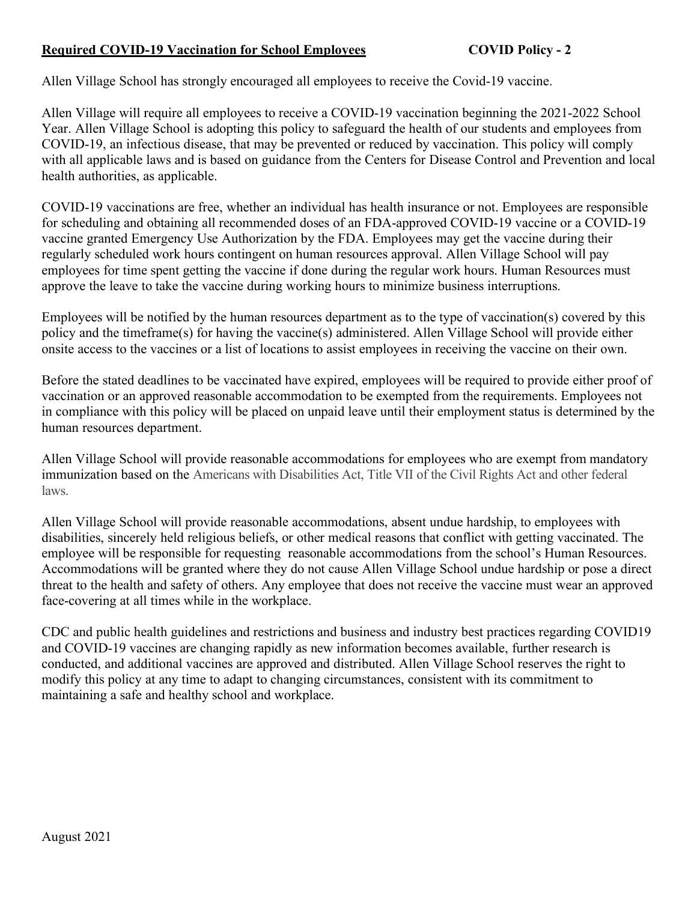# **Required COVID-19 Vaccination for School Employees COVID Policy - 2**

Allen Village School has strongly encouraged all employees to receive the Covid-19 vaccine.

Allen Village will require all employees to receive a COVID-19 vaccination beginning the 2021-2022 School Year. Allen Village School is adopting this policy to safeguard the health of our students and employees from COVID-19, an infectious disease, that may be prevented or reduced by vaccination. This policy will comply with all applicable laws and is based on guidance from the Centers for Disease Control and Prevention and local health authorities, as applicable.

COVID-19 vaccinations are free, whether an individual has health insurance or not. Employees are responsible for scheduling and obtaining all recommended doses of an FDA-approved COVID-19 vaccine or a COVID-19 vaccine granted Emergency Use Authorization by the FDA. Employees may get the vaccine during their regularly scheduled work hours contingent on human resources approval. Allen Village School will pay employees for time spent getting the vaccine if done during the regular work hours. Human Resources must approve the leave to take the vaccine during working hours to minimize business interruptions.

Employees will be notified by the human resources department as to the type of vaccination(s) covered by this policy and the timeframe(s) for having the vaccine(s) administered. Allen Village School will provide either onsite access to the vaccines or a list of locations to assist employees in receiving the vaccine on their own.

Before the stated deadlines to be vaccinated have expired, employees will be required to provide either proof of vaccination or an approved reasonable accommodation to be exempted from the requirements. Employees not in compliance with this policy will be placed on unpaid leave until their employment status is determined by the human resources department.

Allen Village School will provide reasonable accommodations for employees who are exempt from mandatory immunization based on the Americans with Disabilities Act, Title VII of the Civil Rights Act and other federal laws.

Allen Village School will provide reasonable accommodations, absent undue hardship, to employees with disabilities, sincerely held religious beliefs, or other medical reasons that conflict with getting vaccinated. The employee will be responsible for requesting reasonable accommodations from the school's Human Resources. Accommodations will be granted where they do not cause Allen Village School undue hardship or pose a direct threat to the health and safety of others. Any employee that does not receive the vaccine must wear an approved face-covering at all times while in the workplace.

CDC and public health guidelines and restrictions and business and industry best practices regarding COVID19 and COVID-19 vaccines are changing rapidly as new information becomes available, further research is conducted, and additional vaccines are approved and distributed. Allen Village School reserves the right to modify this policy at any time to adapt to changing circumstances, consistent with its commitment to maintaining a safe and healthy school and workplace.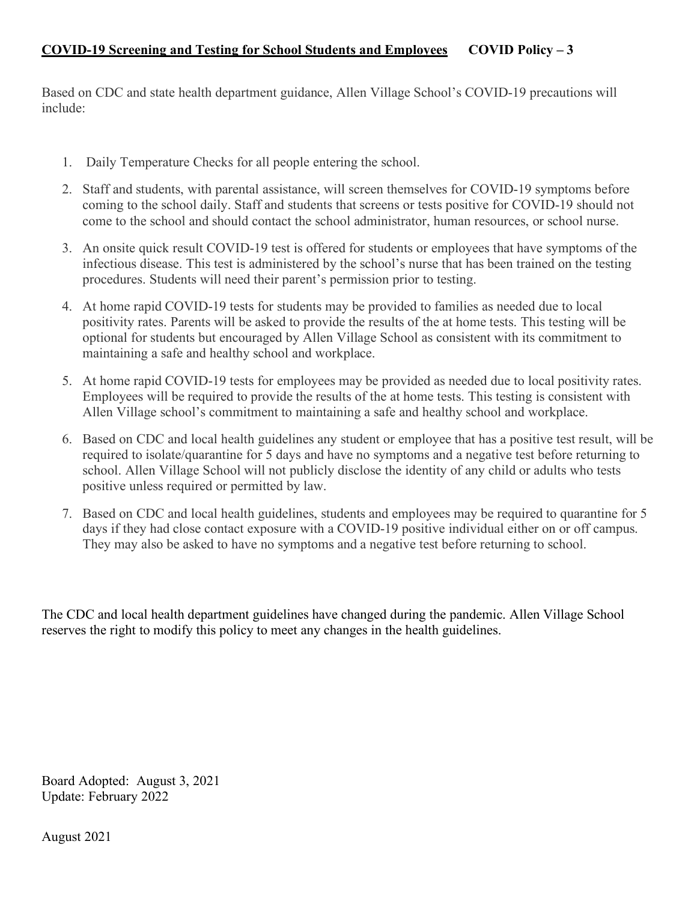Based on CDC and state health department guidance, Allen Village School's COVID-19 precautions will include:

- 1. Daily Temperature Checks for all people entering the school.
- 2. Staff and students, with parental assistance, will screen themselves for COVID-19 symptoms before coming to the school daily. Staff and students that screens or tests positive for COVID-19 should not come to the school and should contact the school administrator, human resources, or school nurse.
- 3. An onsite quick result COVID-19 test is offered for students or employees that have symptoms of the infectious disease. This test is administered by the school's nurse that has been trained on the testing procedures. Students will need their parent's permission prior to testing.
- 4. At home rapid COVID-19 tests for students may be provided to families as needed due to local positivity rates. Parents will be asked to provide the results of the at home tests. This testing will be optional for students but encouraged by Allen Village School as consistent with its commitment to maintaining a safe and healthy school and workplace.
- 5. At home rapid COVID-19 tests for employees may be provided as needed due to local positivity rates. Employees will be required to provide the results of the at home tests. This testing is consistent with Allen Village school's commitment to maintaining a safe and healthy school and workplace.
- 6. Based on CDC and local health guidelines any student or employee that has a positive test result, will be required to isolate/quarantine for 5 days and have no symptoms and a negative test before returning to school. Allen Village School will not publicly disclose the identity of any child or adults who tests positive unless required or permitted by law.
- 7. Based on CDC and local health guidelines, students and employees may be required to quarantine for 5 days if they had close contact exposure with a COVID-19 positive individual either on or off campus. They may also be asked to have no symptoms and a negative test before returning to school.

The CDC and local health department guidelines have changed during the pandemic. Allen Village School reserves the right to modify this policy to meet any changes in the health guidelines.

Board Adopted: August 3, 2021 Update: February 2022

August 2021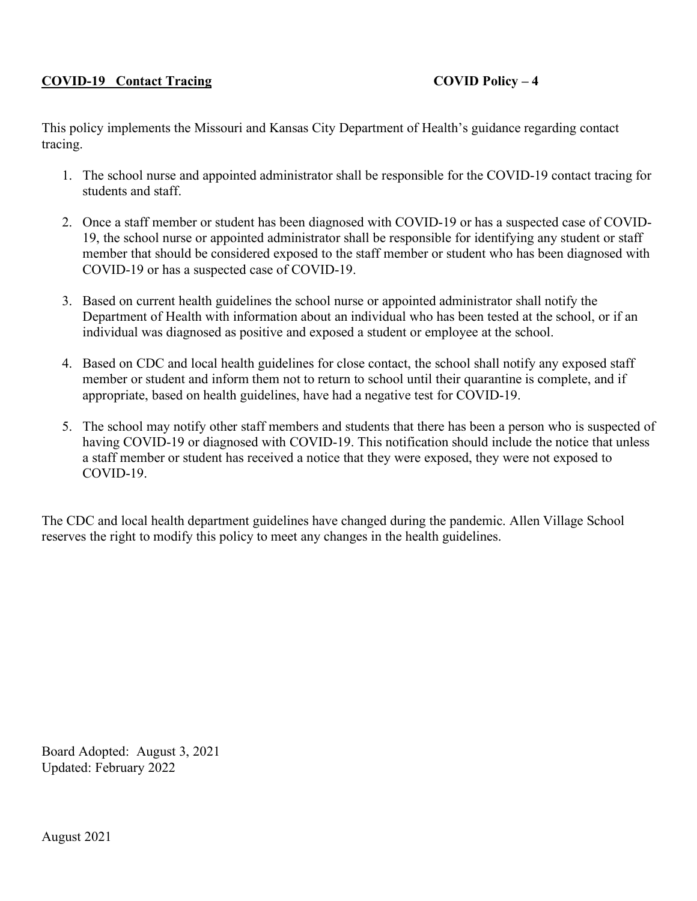# **COVID-19 Contact Tracing COVID Policy – 4**

This policy implements the Missouri and Kansas City Department of Health's guidance regarding contact tracing.

- 1. The school nurse and appointed administrator shall be responsible for the COVID-19 contact tracing for students and staff.
- 2. Once a staff member or student has been diagnosed with COVID-19 or has a suspected case of COVID-19, the school nurse or appointed administrator shall be responsible for identifying any student or staff member that should be considered exposed to the staff member or student who has been diagnosed with COVID-19 or has a suspected case of COVID-19.
- 3. Based on current health guidelines the school nurse or appointed administrator shall notify the Department of Health with information about an individual who has been tested at the school, or if an individual was diagnosed as positive and exposed a student or employee at the school.
- 4. Based on CDC and local health guidelines for close contact, the school shall notify any exposed staff member or student and inform them not to return to school until their quarantine is complete, and if appropriate, based on health guidelines, have had a negative test for COVID-19.
- 5. The school may notify other staff members and students that there has been a person who is suspected of having COVID-19 or diagnosed with COVID-19. This notification should include the notice that unless a staff member or student has received a notice that they were exposed, they were not exposed to COVID-19.

The CDC and local health department guidelines have changed during the pandemic. Allen Village School reserves the right to modify this policy to meet any changes in the health guidelines.

Board Adopted: August 3, 2021 Updated: February 2022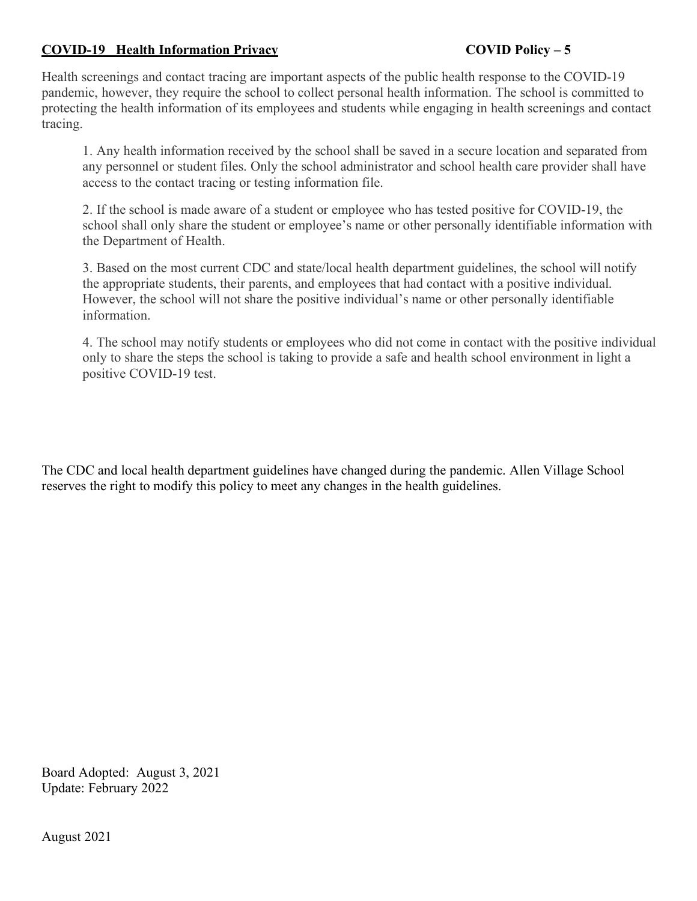# **COVID-19 Health Information Privacy COVID Policy – 5**

Health screenings and contact tracing are important aspects of the public health response to the COVID-19 pandemic, however, they require the school to collect personal health information. The school is committed to protecting the health information of its employees and students while engaging in health screenings and contact tracing.

1. Any health information received by the school shall be saved in a secure location and separated from any personnel or student files. Only the school administrator and school health care provider shall have access to the contact tracing or testing information file.

2. If the school is made aware of a student or employee who has tested positive for COVID-19, the school shall only share the student or employee's name or other personally identifiable information with the Department of Health.

3. Based on the most current CDC and state/local health department guidelines, the school will notify the appropriate students, their parents, and employees that had contact with a positive individual. However, the school will not share the positive individual's name or other personally identifiable information.

4. The school may notify students or employees who did not come in contact with the positive individual only to share the steps the school is taking to provide a safe and health school environment in light a positive COVID-19 test.

The CDC and local health department guidelines have changed during the pandemic. Allen Village School reserves the right to modify this policy to meet any changes in the health guidelines.

Board Adopted: August 3, 2021 Update: February 2022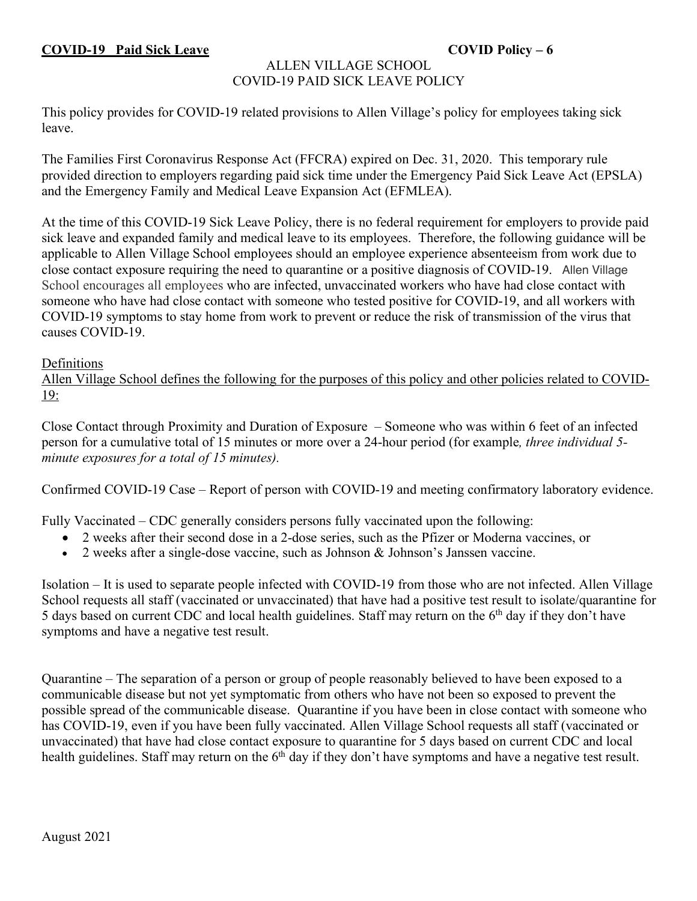### ALLEN VILLAGE SCHOOL COVID-19 PAID SICK LEAVE POLICY

This policy provides for COVID-19 related provisions to Allen Village's policy for employees taking sick leave.

The Families First Coronavirus Response Act (FFCRA) expired on Dec. 31, 2020. This temporary rule provided direction to employers regarding paid sick time under the Emergency Paid Sick Leave Act (EPSLA) and the Emergency Family and Medical Leave Expansion Act (EFMLEA).

At the time of this COVID-19 Sick Leave Policy, there is no federal requirement for employers to provide paid sick leave and expanded family and medical leave to its employees. Therefore, the following guidance will be applicable to Allen Village School employees should an employee experience absenteeism from work due to close contact exposure requiring the need to quarantine or a positive diagnosis of COVID-19. Allen Village School encourages all employees who are infected, unvaccinated workers who have had close contact with someone who have had close contact with someone who tested positive for COVID-19, and all workers with COVID-19 symptoms to stay home from work to prevent or reduce the risk of transmission of the virus that causes COVID-19.

### Definitions

Allen Village School defines the following for the purposes of this policy and other policies related to COVID-19:

Close Contact through Proximity and Duration of Exposure – Someone who was within 6 feet of an infected person for a cumulative total of 15 minutes or more over a 24-hour period (for example*, three individual 5 minute exposures for a total of 15 minutes).*

Confirmed COVID-19 Case – Report of person with COVID-19 and meeting confirmatory laboratory evidence.

Fully Vaccinated – CDC generally considers persons fully vaccinated upon the following:

- 2 weeks after their second dose in a 2-dose series, such as the Pfizer or Moderna vaccines, or
- 2 weeks after a single-dose vaccine, such as Johnson & Johnson's Janssen vaccine.

Isolation – It is used to separate people infected with COVID-19 from those who are not infected. Allen Village School requests all staff (vaccinated or unvaccinated) that have had a positive test result to isolate/quarantine for 5 days based on current CDC and local health guidelines. Staff may return on the 6<sup>th</sup> day if they don't have symptoms and have a negative test result.

Quarantine – The separation of a person or group of people reasonably believed to have been exposed to a communicable disease but not yet symptomatic from others who have not been so exposed to prevent the possible spread of the communicable disease. Quarantine if you have been in close contact with someone who has COVID-19, even if you have been fully vaccinated. Allen Village School requests all staff (vaccinated or unvaccinated) that have had close contact exposure to quarantine for 5 days based on current CDC and local health guidelines. Staff may return on the 6<sup>th</sup> day if they don't have symptoms and have a negative test result.